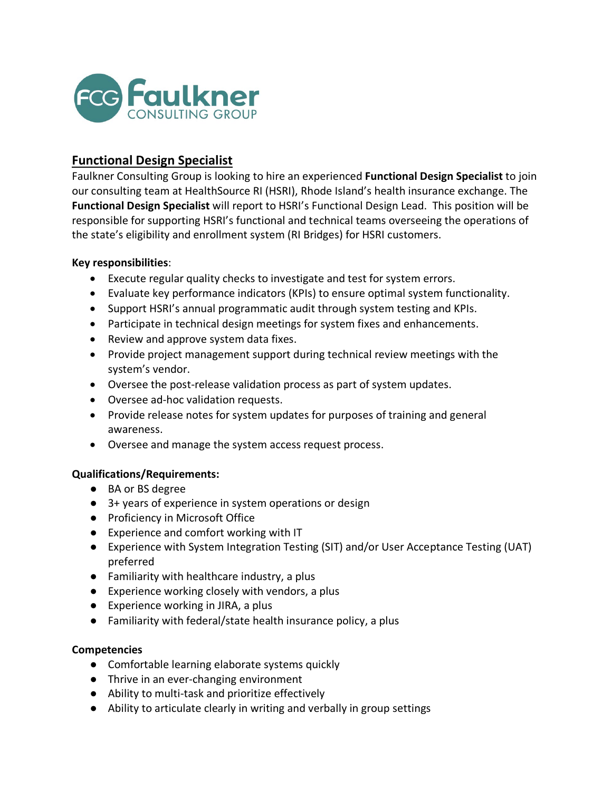

# **Functional Design Specialist**

Faulkner Consulting Group is looking to hire an experienced **Functional Design Specialist** to join our consulting team at HealthSource RI (HSRI), Rhode Island's health insurance exchange. The **Functional Design Specialist** will report to HSRI's Functional Design Lead. This position will be responsible for supporting HSRI's functional and technical teams overseeing the operations of the state's eligibility and enrollment system (RI Bridges) for HSRI customers.

## **Key responsibilities**:

- Execute regular quality checks to investigate and test for system errors.
- Evaluate key performance indicators (KPIs) to ensure optimal system functionality.
- Support HSRI's annual programmatic audit through system testing and KPIs.
- Participate in technical design meetings for system fixes and enhancements.
- Review and approve system data fixes.
- Provide project management support during technical review meetings with the system's vendor.
- Oversee the post-release validation process as part of system updates.
- Oversee ad-hoc validation requests.
- Provide release notes for system updates for purposes of training and general awareness.
- Oversee and manage the system access request process.

## **Qualifications/Requirements:**

- BA or BS degree
- 3+ years of experience in system operations or design
- Proficiency in Microsoft Office
- Experience and comfort working with IT
- Experience with System Integration Testing (SIT) and/or User Acceptance Testing (UAT) preferred
- Familiarity with healthcare industry, a plus
- Experience working closely with vendors, a plus
- Experience working in JIRA, a plus
- Familiarity with federal/state health insurance policy, a plus

#### **Competencies**

- Comfortable learning elaborate systems quickly
- Thrive in an ever-changing environment
- Ability to multi-task and prioritize effectively
- Ability to articulate clearly in writing and verbally in group settings